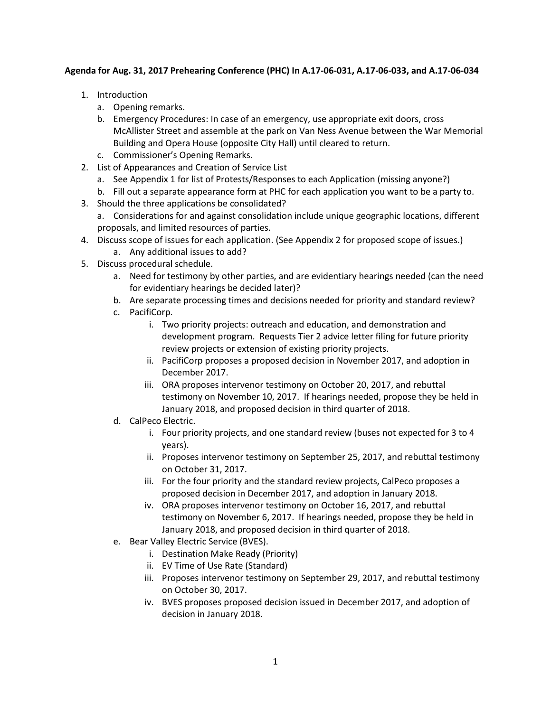## **Agenda for Aug. 31, 2017 Prehearing Conference (PHC) In A.17-06-031, A.17-06-033, and A.17-06-034**

- 1. Introduction
	- a. Opening remarks.
	- b. Emergency Procedures: In case of an emergency, use appropriate exit doors, cross McAllister Street and assemble at the park on Van Ness Avenue between the War Memorial Building and Opera House (opposite City Hall) until cleared to return.
	- c. Commissioner's Opening Remarks.
- 2. List of Appearances and Creation of Service List
	- a. See Appendix 1 for list of Protests/Responses to each Application (missing anyone?)
	- b. Fill out a separate appearance form at PHC for each application you want to be a party to.
- 3. Should the three applications be consolidated?
	- a. Considerations for and against consolidation include unique geographic locations, different proposals, and limited resources of parties.
- 4. Discuss scope of issues for each application. (See Appendix 2 for proposed scope of issues.) a. Any additional issues to add?
- 5. Discuss procedural schedule.
	- a. Need for testimony by other parties, and are evidentiary hearings needed (can the need for evidentiary hearings be decided later)?
	- b. Are separate processing times and decisions needed for priority and standard review?
	- c. PacifiCorp.
		- i. Two priority projects: outreach and education, and demonstration and development program. Requests Tier 2 advice letter filing for future priority review projects or extension of existing priority projects.
		- ii. PacifiCorp proposes a proposed decision in November 2017, and adoption in December 2017.
		- iii. ORA proposes intervenor testimony on October 20, 2017, and rebuttal testimony on November 10, 2017. If hearings needed, propose they be held in January 2018, and proposed decision in third quarter of 2018.
	- d. CalPeco Electric.
		- i. Four priority projects, and one standard review (buses not expected for 3 to 4 years).
		- ii. Proposes intervenor testimony on September 25, 2017, and rebuttal testimony on October 31, 2017.
		- iii. For the four priority and the standard review projects, CalPeco proposes a proposed decision in December 2017, and adoption in January 2018.
		- iv. ORA proposes intervenor testimony on October 16, 2017, and rebuttal testimony on November 6, 2017. If hearings needed, propose they be held in January 2018, and proposed decision in third quarter of 2018.
	- e. Bear Valley Electric Service (BVES).
		- i. Destination Make Ready (Priority)
		- ii. EV Time of Use Rate (Standard)
		- iii. Proposes intervenor testimony on September 29, 2017, and rebuttal testimony on October 30, 2017.
		- iv. BVES proposes proposed decision issued in December 2017, and adoption of decision in January 2018.